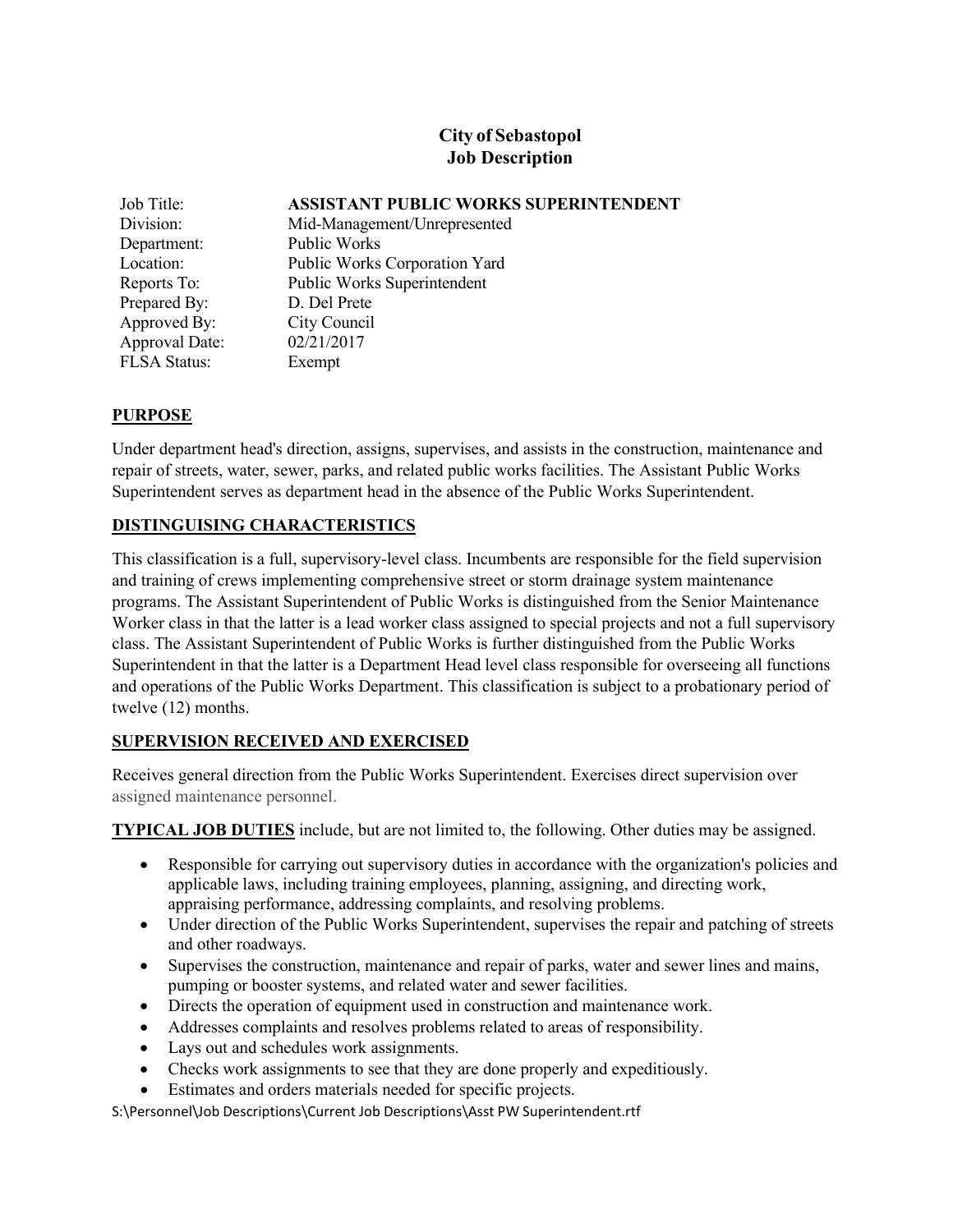# **City of Sebastopol Job Description**

| Job Title:          | <b>ASSISTANT PUBLIC WORKS SUPERINTENDENT</b> |
|---------------------|----------------------------------------------|
| Division:           | Mid-Management/Unrepresented                 |
| Department:         | Public Works                                 |
| Location:           | Public Works Corporation Yard                |
| Reports To:         | Public Works Superintendent                  |
| Prepared By:        | D. Del Prete                                 |
| Approved By:        | City Council                                 |
| Approval Date:      | 02/21/2017                                   |
| <b>FLSA Status:</b> | Exempt                                       |

### **PURPOSE**

Under department head's direction, assigns, supervises, and assists in the construction, maintenance and repair of streets, water, sewer, parks, and related public works facilities. The Assistant Public Works Superintendent serves as department head in the absence of the Public Works Superintendent.

### **DISTINGUISING CHARACTERISTICS**

This classification is a full, supervisory-level class. Incumbents are responsible for the field supervision and training of crews implementing comprehensive street or storm drainage system maintenance programs. The Assistant Superintendent of Public Works is distinguished from the Senior Maintenance Worker class in that the latter is a lead worker class assigned to special projects and not a full supervisory class. The Assistant Superintendent of Public Works is further distinguished from the Public Works Superintendent in that the latter is a Department Head level class responsible for overseeing all functions and operations of the Public Works Department. This classification is subject to a probationary period of twelve (12) months.

### **SUPERVISION RECEIVED AND EXERCISED**

Receives general direction from the Public Works Superintendent. Exercises direct supervision over assigned maintenance personnel.

**TYPICAL JOB DUTIES** include, but are not limited to, the following. Other duties may be assigned.

- Responsible for carrying out supervisory duties in accordance with the organization's policies and applicable laws, including training employees, planning, assigning, and directing work, appraising performance, addressing complaints, and resolving problems.
- Under direction of the Public Works Superintendent, supervises the repair and patching of streets and other roadways.
- Supervises the construction, maintenance and repair of parks, water and sewer lines and mains, pumping or booster systems, and related water and sewer facilities.
- Directs the operation of equipment used in construction and maintenance work.
- Addresses complaints and resolves problems related to areas of responsibility.
- Lays out and schedules work assignments.
- Checks work assignments to see that they are done properly and expeditiously.
- Estimates and orders materials needed for specific projects.

S:\Personnel\Job Descriptions\Current Job Descriptions\Asst PW Superintendent.rtf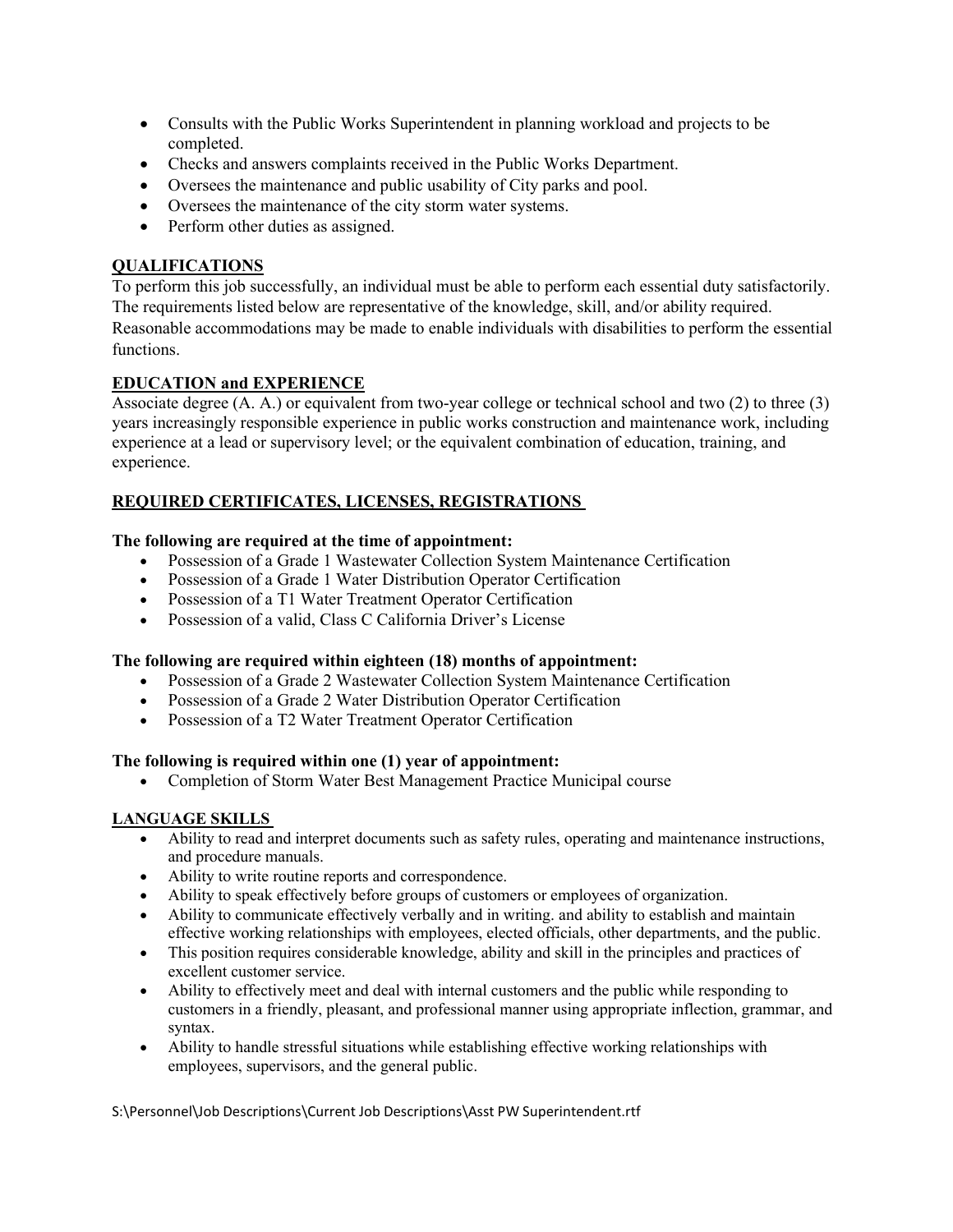- Consults with the Public Works Superintendent in planning workload and projects to be completed.
- Checks and answers complaints received in the Public Works Department.
- Oversees the maintenance and public usability of City parks and pool.
- Oversees the maintenance of the city storm water systems.
- Perform other duties as assigned.

### **QUALIFICATIONS**

To perform this job successfully, an individual must be able to perform each essential duty satisfactorily. The requirements listed below are representative of the knowledge, skill, and/or ability required. Reasonable accommodations may be made to enable individuals with disabilities to perform the essential functions.

### **EDUCATION and EXPERIENCE**

Associate degree (A. A.) or equivalent from two-year college or technical school and two (2) to three (3) years increasingly responsible experience in public works construction and maintenance work, including experience at a lead or supervisory level; or the equivalent combination of education, training, and experience.

## **REQUIRED CERTIFICATES, LICENSES, REGISTRATIONS**

### **The following are required at the time of appointment:**

- Possession of a Grade 1 Wastewater Collection System Maintenance Certification
- Possession of a Grade 1 Water Distribution Operator Certification
- Possession of a T1 Water Treatment Operator Certification
- Possession of a valid, Class C California Driver's License

#### **The following are required within eighteen (18) months of appointment:**

- Possession of a Grade 2 Wastewater Collection System Maintenance Certification
- Possession of a Grade 2 Water Distribution Operator Certification
- Possession of a T2 Water Treatment Operator Certification

#### **The following is required within one (1) year of appointment:**

• Completion of Storm Water Best Management Practice Municipal course

#### **LANGUAGE SKILLS**

- Ability to read and interpret documents such as safety rules, operating and maintenance instructions, and procedure manuals.
- Ability to write routine reports and correspondence.
- Ability to speak effectively before groups of customers or employees of organization.
- Ability to communicate effectively verbally and in writing. and ability to establish and maintain effective working relationships with employees, elected officials, other departments, and the public.
- This position requires considerable knowledge, ability and skill in the principles and practices of excellent customer service.
- Ability to effectively meet and deal with internal customers and the public while responding to customers in a friendly, pleasant, and professional manner using appropriate inflection, grammar, and syntax.
- Ability to handle stressful situations while establishing effective working relationships with employees, supervisors, and the general public.

S:\Personnel\Job Descriptions\Current Job Descriptions\Asst PW Superintendent.rtf